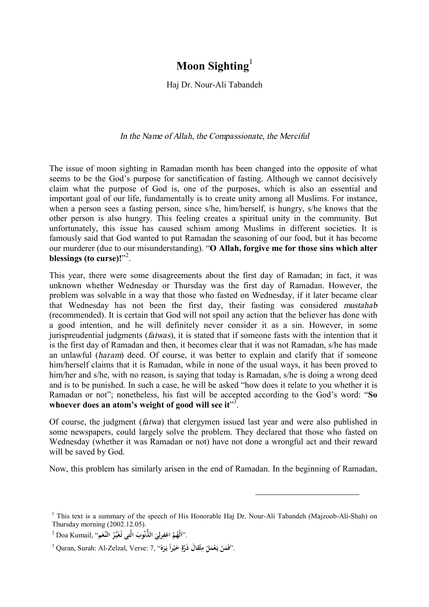## **Moon Sighting**<sup>1</sup>

Haj Dr. Nour-Ali Tabandeh

## *In the Name of Allah, the Compassionate, the Merciful*

The issue of moon sighting in Ramadan month has been changed into the opposite of what seems to be the God's purpose for sanctification of fasting. Although we cannot decisively claim what the purpose of God is, one of the purposes, which is also an essential and important goal of our life, fundamentally is to create unity among all Muslims. For instance, when a person sees a fasting person, since s/he, him/herself, is hungry, s/he knows that the other person is also hungry. This feeling creates a spiritual unity in the community. But unfortunately, this issue has caused schism among Muslims in different societies. It is famously said that God wanted to put Ramadan the seasoning of our food, but it has become our murderer (due to our misunderstanding). "**O Allah, forgive me for those sins which alter**  blessings (to curse)!"<sup>2</sup>.

This year, there were some disagreements about the first day of Ramadan; in fact, it was unknown whether Wednesday or Thursday was the first day of Ramadan. However, the problem was solvable in a way that those who fasted on Wednesday, if it later became clear that Wednesday has not been the first day, their fasting was considered *mustahab* (recommended). It is certain that God will not spoil any action that the believer has done with a good intention, and he will definitely never consider it as a sin. However, in some jurispreudential judgments (*fatwas*), it is stated that if someone fasts with the intention that it is the first day of Ramadan and then, it becomes clear that it was not Ramadan, s/he has made an unlawful (*haram*) deed. Of course, it was better to explain and clarify that if someone him/herself claims that it is Ramadan, while in none of the usual ways, it has been proved to him/her and s/he, with no reason, is saying that today is Ramadan, s/he is doing a wrong deed and is to be punished. In such a case, he will be asked "how does it relate to you whether it is Ramadan or not"; nonetheless, his fast will be accepted according to the God's word: "**So whoever does an atom's weight of good will see it**" 3 .

Of course, the judgment (*fatwa*) that clergymen issued last year and were also published in some newspapers, could largely solve the problem. They declared that those who fasted on Wednesday (whether it was Ramadan or not) have not done a wrongful act and their reward will be saved by God.

Now, this problem has similarly arisen in the end of Ramadan. In the beginning of Ramadan,

 $\overline{a}$ 

<sup>&</sup>lt;sup>1</sup> This text is a summary of the speech of His Honorable Haj Dr. Nour-Ali Tabandeh (Majzoob-Ali-Shah) on Thursday morning (2002.12.05).

<sup>.&</sup>lt;sup>^^</sup> َلَّهُمَّ اغْفِرِلِيَ الذُّنُوبَ الَّت<sub>َى</sub> تُغَيِّرُ النِّعَم<sup>ِ</sup> ۚ Doa Kumail, **ِ ا َ ُ َ**

 $^3$ Quran, Surah: Al-Zelzal, Verse: 7, ''فَمَنْ يَعْمَلْ مِثْقَالَ ذَرَّةٍ خَيْراً يَرَهُ''. **َ َ ٍ ِ ْ َ**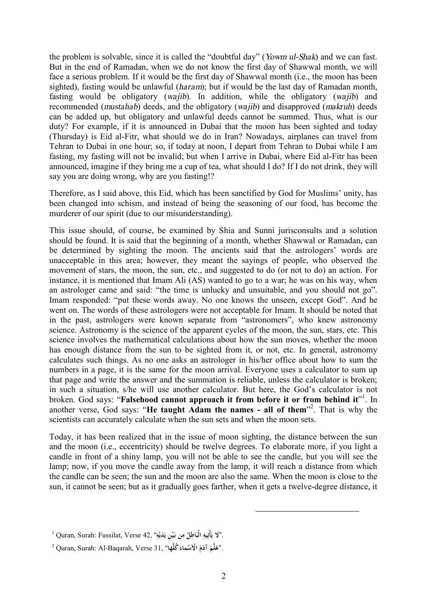the problem is solvable, since it is called the "doubtful day" (*Yowm ul-Shak*) and we can fast. But in the end of Ramadan, when we do not know the first day of Shawwal month, we will face a serious problem. If it would be the first day of Shawwal month (i.e., the moon has been sighted), fasting would be unlawful (*haram*); but if would be the last day of Ramadan month, fasting would be obligatory (*wajib*). In addition, while the obligatory (*wajib*) and recommended (*mustahab*) deeds, and the obligatory (*wajib*) and disapproved (*makruh*) deeds can be added up, but obligatory and unlawful deeds cannot be summed. Thus, what is our duty? For example, if it is announced in Dubai that the moon has been sighted and today (Thursday) is Eid al-Fitr, what should we do in Iran? Nowadays, airplanes can travel from Tehran to Dubai in one hour; so, if today at noon, I depart from Tehran to Dubai while I am fasting, my fasting will not be invalid; but when I arrive in Dubai, where Eid al-Fitr has been announced, imagine if they bring me a cup of tea, what should I do? If I do not drink, they will say you are doing wrong, why are you fasting!?

Therefore, as I said above, this Eid, which has been sanctified by God for Muslims' unity, has been changed into schism, and instead of being the seasoning of our food, has become the murderer of our spirit (due to our misunderstanding).

This issue should, of course, be examined by Shia and Sunni jurisconsults and a solution should be found. It is said that the beginning of a month, whether Shawwal or Ramadan, can be determined by sighting the moon. The ancients said that the astrologers' words are unacceptable in this area; however, they meant the sayings of people, who observed the movement of stars, the moon, the sun, etc., and suggested to do (or not to do) an action. For instance, it is mentioned that Imam Ali (AS) wanted to go to a war; he was on his way, when an astrologer came and said: "the time is unlucky and unsuitable, and you should not go". Imam responded: "put these words away. No one knows the unseen, except God". And he went on. The words of these astrologers were not acceptable for Imam. It should be noted that in the past, astrologers were known separate from "astronomers", who knew astronomy science. Astronomy is the science of the apparent cycles of the moon, the sun, stars, etc. This science involves the mathematical calculations about how the sun moves, whether the moon has enough distance from the sun to be sighted from it, or not, etc. In general, astronomy calculates such things. As no one asks an astrologer in his/her office about how to sum the numbers in a page, it is the same for the moon arrival. Everyone uses a calculator to sum up that page and write the answer and the summation is reliable, unless the calculator is broken; in such a situation, s/he will use another calculator. But here, the God's calculator is not broken. God says: "**Falsehood cannot approach it from before it or from behind it**" 1 . In another verse, God says: "**He taught Adam the names - all of them**" 2 . That is why the scientists can accurately calculate when the sun sets and when the moon sets.

Today, it has been realized that in the issue of moon sighting, the distance between the sun and the moon (i.e., eccentricity) should be twelve degrees. To elaborate more, if you light a candle in front of a shiny lamp, you will not be able to see the candle, but you will see the lamp; now, if you move the candle away from the lamp, it will reach a distance from which the candle can be seen; the sun and the moon are also the same. When the moon is close to the sun, it cannot be seen; but as it gradually goes farther, when it gets a twelve-degree distance, it

 $\overline{a}$ 

<sup>1</sup> Quran, Surah: Fussilat, Verse 42, **" ه ََدي ِن ي ي ن بـ م ل اطِ ِ الْب ِيه أْت** .**"َلا ي ِ ْ ْ َ ِ ُ َ َ**

 $^2$  Quran, Surah: Al-Baqarah, Verse 31, "اَعَلَّمَ آدَمَ الْأَسْماءَ كُلُّه**ا**". **َ َ َ َ**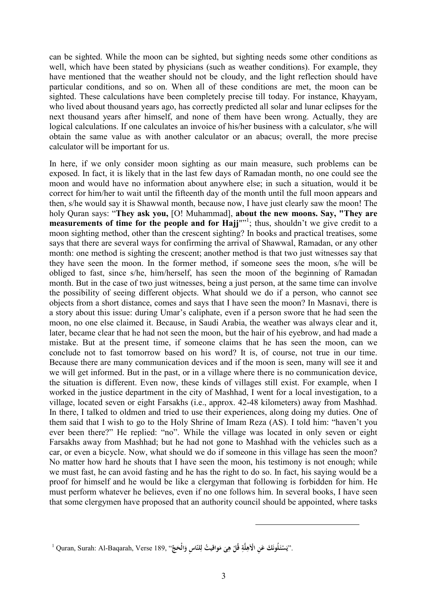can be sighted. While the moon can be sighted, but sighting needs some other conditions as well, which have been stated by physicians (such as weather conditions). For example, they have mentioned that the weather should not be cloudy, and the light reflection should have particular conditions, and so on. When all of these conditions are met, the moon can be sighted. These calculations have been completely precise till today. For instance, Khayyam, who lived about thousand years ago, has correctly predicted all solar and lunar eclipses for the next thousand years after himself, and none of them have been wrong. Actually, they are logical calculations. If one calculates an invoice of his/her business with a calculator, s/he will obtain the same value as with another calculator or an abacus; overall, the more precise calculator will be important for us.

In here, if we only consider moon sighting as our main measure, such problems can be exposed. In fact, it is likely that in the last few days of Ramadan month, no one could see the moon and would have no information about anywhere else; in such a situation, would it be correct for him/her to wait until the fifteenth day of the month until the full moon appears and then, s/he would say it is Shawwal month, because now, I have just clearly saw the moon! The holy Quran says: "**They ask you,** [O! Muhammad], **about the new moons. Say, "They are measurements of time for the people and for Hajj**"" 1 ; thus, shouldn't we give credit to a moon sighting method, other than the crescent sighting? In books and practical treatises, some says that there are several ways for confirming the arrival of Shawwal, Ramadan, or any other month: one method is sighting the crescent; another method is that two just witnesses say that they have seen the moon. In the former method, if someone sees the moon, s/he will be obliged to fast, since s/he, him/herself, has seen the moon of the beginning of Ramadan month. But in the case of two just witnesses, being a just person, at the same time can involve the possibility of seeing different objects. What should we do if a person, who cannot see objects from a short distance, comes and says that I have seen the moon? In Masnavi, there is a story about this issue: during Umar's caliphate, even if a person swore that he had seen the moon, no one else claimed it. Because, in Saudi Arabia, the weather was always clear and it, later, became clear that he had not seen the moon, but the hair of his eyebrow, and had made a mistake. But at the present time, if someone claims that he has seen the moon, can we conclude not to fast tomorrow based on his word? It is, of course, not true in our time. Because there are many communication devices and if the moon is seen, many will see it and we will get informed. But in the past, or in a village where there is no communication device, the situation is different. Even now, these kinds of villages still exist. For example, when I worked in the justice department in the city of Mashhad, I went for a local investigation, to a village, located seven or eight Farsakhs (i.e., approx. 42-48 kilometers) away from Mashhad. In there, I talked to oldmen and tried to use their experiences, along doing my duties. One of them said that I wish to go to the Holy Shrine of Imam Reza (AS). I told him: "haven't you ever been there?" He replied: "no". While the village was located in only seven or eight Farsakhs away from Mashhad; but he had not gone to Mashhad with the vehicles such as a car, or even a bicycle. Now, what should we do if someone in this village has seen the moon? No matter how hard he shouts that I have seen the moon, his testimony is not enough; while we must fast, he can avoid fasting and he has the right to do so. In fact, his saying would be a proof for himself and he would be like a clergyman that following is forbidden for him. He must perform whatever he believes, even if no one follows him. In several books, I have seen that some clergymen have proposed that an authority council should be appointed, where tasks

 $\overline{a}$ 

 $^1$  Quran, Surah: Al-Baqarah, Verse 189, ''رَيَسْنَطُونَكَ عَنِ الْأَهِلَّةِ قُلْ هِيَ مَواقِيتُ لِلنّاسِ وَالْحَجَّ''. **َ ْ َ َ ِ ْ ِ ِ َ َ**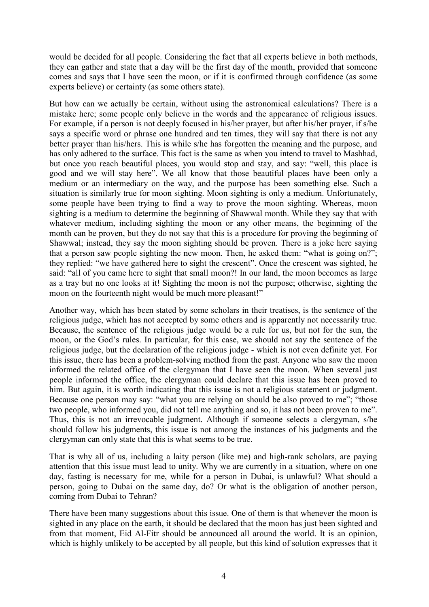would be decided for all people. Considering the fact that all experts believe in both methods, they can gather and state that a day will be the first day of the month, provided that someone comes and says that I have seen the moon, or if it is confirmed through confidence (as some experts believe) or certainty (as some others state).

But how can we actually be certain, without using the astronomical calculations? There is a mistake here; some people only believe in the words and the appearance of religious issues. For example, if a person is not deeply focused in his/her prayer, but after his/her prayer, if s/he says a specific word or phrase one hundred and ten times, they will say that there is not any better prayer than his/hers. This is while s/he has forgotten the meaning and the purpose, and has only adhered to the surface. This fact is the same as when you intend to travel to Mashhad, but once you reach beautiful places, you would stop and stay, and say: "well, this place is good and we will stay here". We all know that those beautiful places have been only a medium or an intermediary on the way, and the purpose has been something else. Such a situation is similarly true for moon sighting. Moon sighting is only a medium. Unfortunately, some people have been trying to find a way to prove the moon sighting. Whereas, moon sighting is a medium to determine the beginning of Shawwal month. While they say that with whatever medium, including sighting the moon or any other means, the beginning of the month can be proven, but they do not say that this is a procedure for proving the beginning of Shawwal; instead, they say the moon sighting should be proven. There is a joke here saying that a person saw people sighting the new moon. Then, he asked them: "what is going on?"; they replied: "we have gathered here to sight the crescent". Once the crescent was sighted, he said: "all of you came here to sight that small moon?! In our land, the moon becomes as large as a tray but no one looks at it! Sighting the moon is not the purpose; otherwise, sighting the moon on the fourteenth night would be much more pleasant!"

Another way, which has been stated by some scholars in their treatises, is the sentence of the religious judge, which has not accepted by some others and is apparently not necessarily true. Because, the sentence of the religious judge would be a rule for us, but not for the sun, the moon, or the God's rules. In particular, for this case, we should not say the sentence of the religious judge, but the declaration of the religious judge - which is not even definite yet. For this issue, there has been a problem-solving method from the past. Anyone who saw the moon informed the related office of the clergyman that I have seen the moon. When several just people informed the office, the clergyman could declare that this issue has been proved to him. But again, it is worth indicating that this issue is not a religious statement or judgment. Because one person may say: "what you are relying on should be also proved to me"; "those two people, who informed you, did not tell me anything and so, it has not been proven to me". Thus, this is not an irrevocable judgment. Although if someone selects a clergyman, s/he should follow his judgments, this issue is not among the instances of his judgments and the clergyman can only state that this is what seems to be true.

That is why all of us, including a laity person (like me) and high-rank scholars, are paying attention that this issue must lead to unity. Why we are currently in a situation, where on one day, fasting is necessary for me, while for a person in Dubai, is unlawful? What should a person, going to Dubai on the same day, do? Or what is the obligation of another person, coming from Dubai to Tehran?

There have been many suggestions about this issue. One of them is that whenever the moon is sighted in any place on the earth, it should be declared that the moon has just been sighted and from that moment, Eid Al-Fitr should be announced all around the world. It is an opinion, which is highly unlikely to be accepted by all people, but this kind of solution expresses that it